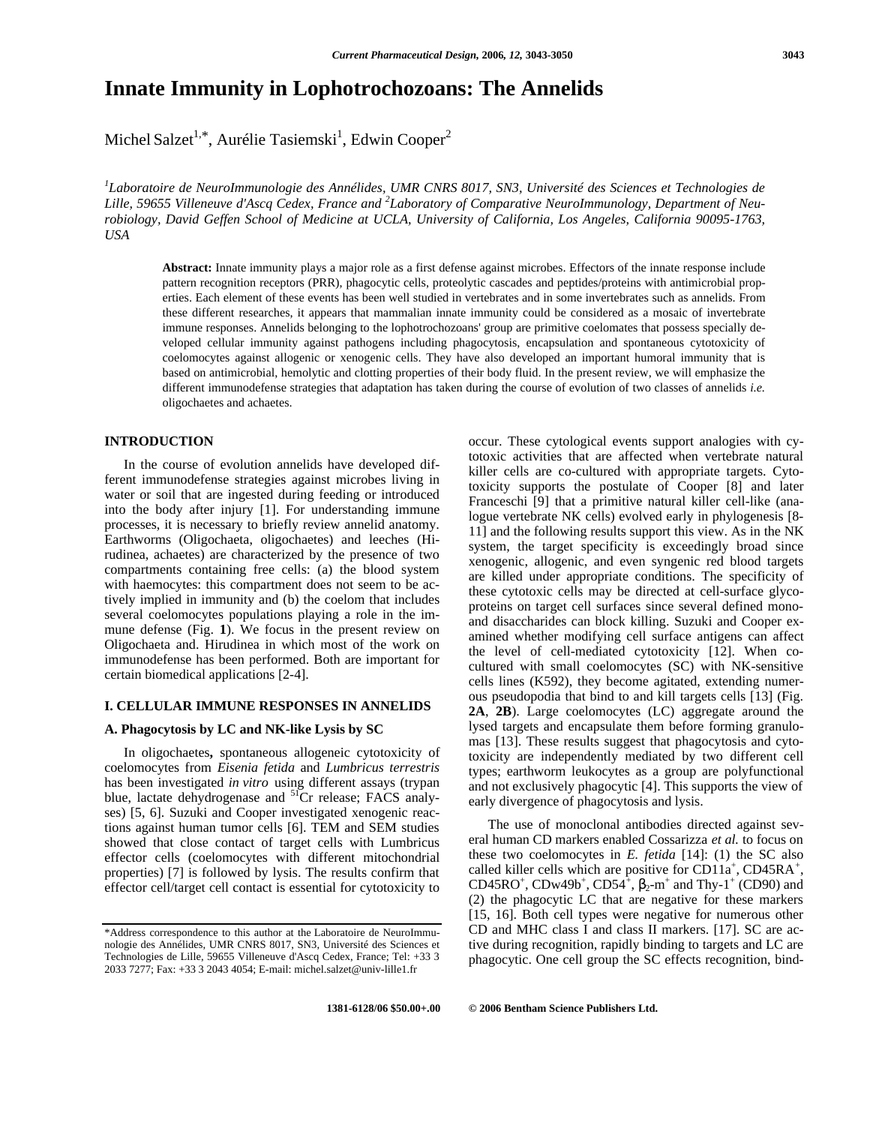# **Innate Immunity in Lophotrochozoans: The Annelids**

Michel Salzet<sup>1,\*</sup>, Aurélie Tasiemski<sup>1</sup>, Edwin Cooper<sup>2</sup>

*1 Laboratoire de NeuroImmunologie des Annélides, UMR CNRS 8017, SN3, Université des Sciences et Technologies de Lille, 59655 Villeneuve d'Ascq Cedex, France and <sup>2</sup> Laboratory of Comparative NeuroImmunology, Department of Neurobiology, David Geffen School of Medicine at UCLA, University of California, Los Angeles, California 90095-1763, USA*

**Abstract:** Innate immunity plays a major role as a first defense against microbes. Effectors of the innate response include pattern recognition receptors (PRR), phagocytic cells, proteolytic cascades and peptides/proteins with antimicrobial properties. Each element of these events has been well studied in vertebrates and in some invertebrates such as annelids. From these different researches, it appears that mammalian innate immunity could be considered as a mosaic of invertebrate immune responses. Annelids belonging to the lophotrochozoans' group are primitive coelomates that possess specially developed cellular immunity against pathogens including phagocytosis, encapsulation and spontaneous cytotoxicity of coelomocytes against allogenic or xenogenic cells. They have also developed an important humoral immunity that is based on antimicrobial, hemolytic and clotting properties of their body fluid. In the present review, we will emphasize the different immunodefense strategies that adaptation has taken during the course of evolution of two classes of annelids *i.e.* oligochaetes and achaetes.

# **INTRODUCTION**

In the course of evolution annelids have developed different immunodefense strategies against microbes living in water or soil that are ingested during feeding or introduced into the body after injury [1]. For understanding immune processes, it is necessary to briefly review annelid anatomy. Earthworms (Oligochaeta, oligochaetes) and leeches (Hirudinea, achaetes) are characterized by the presence of two compartments containing free cells: (a) the blood system with haemocytes: this compartment does not seem to be actively implied in immunity and (b) the coelom that includes several coelomocytes populations playing a role in the immune defense (Fig. **1**). We focus in the present review on Oligochaeta and. Hirudinea in which most of the work on immunodefense has been performed. Both are important for certain biomedical applications [2-4].

# **I. CELLULAR IMMUNE RESPONSES IN ANNELIDS**

#### **A. Phagocytosis by LC and NK-like Lysis by SC**

In oligochaetes**,** spontaneous allogeneic cytotoxicity of coelomocytes from *Eisenia fetida* and *Lumbricus terrestris* has been investigated *in vitro* using different assays (trypan blue, lactate dehydrogenase and <sup>51</sup>Cr release; FACS analyses) [5, 6]. Suzuki and Cooper investigated xenogenic reactions against human tumor cells [6]. TEM and SEM studies showed that close contact of target cells with Lumbricus effector cells (coelomocytes with different mitochondrial properties) [7] is followed by lysis. The results confirm that effector cell/target cell contact is essential for cytotoxicity to

occur. These cytological events support analogies with cytotoxic activities that are affected when vertebrate natural killer cells are co-cultured with appropriate targets. Cytotoxicity supports the postulate of Cooper [8] and later Franceschi [9] that a primitive natural killer cell-like (analogue vertebrate NK cells) evolved early in phylogenesis [8- 11] and the following results support this view. As in the NK system, the target specificity is exceedingly broad since xenogenic, allogenic, and even syngenic red blood targets are killed under appropriate conditions. The specificity of these cytotoxic cells may be directed at cell-surface glycoproteins on target cell surfaces since several defined monoand disaccharides can block killing. Suzuki and Cooper examined whether modifying cell surface antigens can affect the level of cell-mediated cytotoxicity [12]. When cocultured with small coelomocytes (SC) with NK-sensitive cells lines (K592), they become agitated, extending numerous pseudopodia that bind to and kill targets cells [13] (Fig. **2A**, **2B**). Large coelomocytes (LC) aggregate around the lysed targets and encapsulate them before forming granulomas [13]. These results suggest that phagocytosis and cytotoxicity are independently mediated by two different cell types; earthworm leukocytes as a group are polyfunctional and not exclusively phagocytic [4]. This supports the view of early divergence of phagocytosis and lysis.

The use of monoclonal antibodies directed against several human CD markers enabled Cossarizza *et al.* to focus on these two coelomocytes in *E. fetida* [14]: (1) the SC also called killer cells which are positive for  $CD11a^+$ ,  $CD45RA^+$ , CD45RO<sup>+</sup>, CDw49b<sup>+</sup>, CD54<sup>+</sup>, <sub>2</sub>-m<sup>+</sup> and Thy-1<sup>+</sup> (CD90) and (2) the phagocytic LC that are negative for these markers [15, 16]. Both cell types were negative for numerous other CD and MHC class I and class II markers. [17]. SC are active during recognition, rapidly binding to targets and LC are phagocytic. One cell group the SC effects recognition, bind-

<sup>\*</sup>Address correspondence to this author at the Laboratoire de NeuroImmunologie des Annélides, UMR CNRS 8017, SN3, Université des Sciences et Technologies de Lille, 59655 Villeneuve d'Ascq Cedex, France; Tel: +33 3 2033 7277; Fax: +33 3 2043 4054; E-mail: michel.salzet@univ-lille1.fr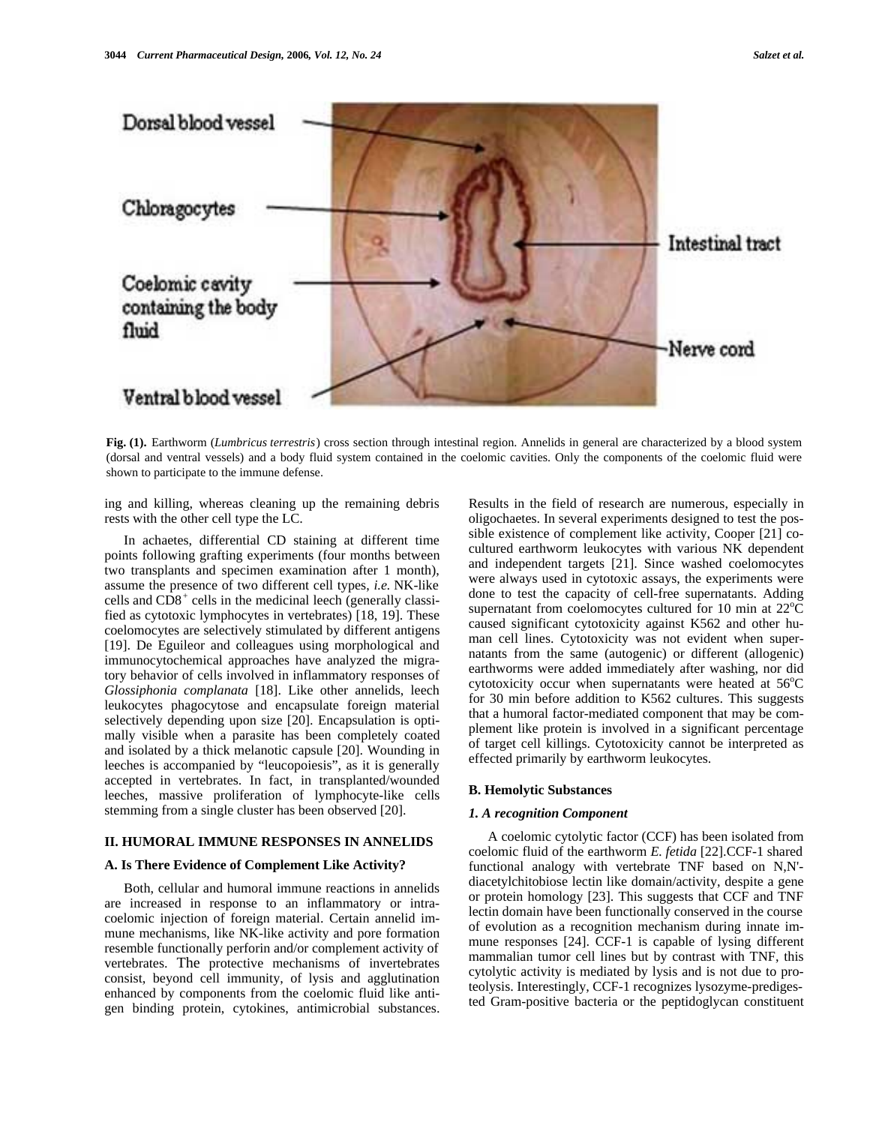

**Fig. (1).** Earthworm (*Lumbricus terrestris*) cross section through intestinal region. Annelids in general are characterized by a blood system (dorsal and ventral vessels) and a body fluid system contained in the coelomic cavities. Only the components of the coelomic fluid were shown to participate to the immune defense.

ing and killing, whereas cleaning up the remaining debris rests with the other cell type the LC.

In achaetes, differential CD staining at different time points following grafting experiments (four months between two transplants and specimen examination after 1 month), assume the presence of two different cell types, *i.e.* NK-like cells and  $CD8<sup>+</sup>$  cells in the medicinal leech (generally classified as cytotoxic lymphocytes in vertebrates) [18, 19]. These coelomocytes are selectively stimulated by different antigens [19]. De Eguileor and colleagues using morphological and immunocytochemical approaches have analyzed the migratory behavior of cells involved in inflammatory responses of *Glossiphonia complanata* [18]. Like other annelids, leech leukocytes phagocytose and encapsulate foreign material selectively depending upon size [20]. Encapsulation is optimally visible when a parasite has been completely coated and isolated by a thick melanotic capsule [20]. Wounding in leeches is accompanied by "leucopoiesis", as it is generally accepted in vertebrates. In fact, in transplanted/wounded leeches, massive proliferation of lymphocyte-like cells stemming from a single cluster has been observed [20].

# **II. HUMORAL IMMUNE RESPONSES IN ANNELIDS**

#### **A. Is There Evidence of Complement Like Activity?**

Both, cellular and humoral immune reactions in annelids are increased in response to an inflammatory or intracoelomic injection of foreign material. Certain annelid immune mechanisms, like NK-like activity and pore formation resemble functionally perforin and/or complement activity of vertebrates. The protective mechanisms of invertebrates consist, beyond cell immunity, of lysis and agglutination enhanced by components from the coelomic fluid like antigen binding protein, cytokines, antimicrobial substances.

Results in the field of research are numerous, especially in oligochaetes. In several experiments designed to test the possible existence of complement like activity, Cooper [21] cocultured earthworm leukocytes with various NK dependent and independent targets [21]. Since washed coelomocytes were always used in cytotoxic assays, the experiments were done to test the capacity of cell-free supernatants. Adding supernatant from coelomocytes cultured for 10 min at  $22^{\circ}C$ caused significant cytotoxicity against K562 and other human cell lines. Cytotoxicity was not evident when supernatants from the same (autogenic) or different (allogenic) earthworms were added immediately after washing, nor did cytotoxicity occur when supernatants were heated at  $56^{\circ}$ C for 30 min before addition to K562 cultures. This suggests that a humoral factor-mediated component that may be complement like protein is involved in a significant percentage of target cell killings. Cytotoxicity cannot be interpreted as effected primarily by earthworm leukocytes.

#### **B. Hemolytic Substances**

### *1. A recognition Component*

A coelomic cytolytic factor (CCF) has been isolated from coelomic fluid of the earthworm *E. fetida* [22].CCF-1 shared functional analogy with vertebrate TNF based on N,N' diacetylchitobiose lectin like domain/activity, despite a gene or protein homology [23]. This suggests that CCF and TNF lectin domain have been functionally conserved in the course of evolution as a recognition mechanism during innate immune responses [24]. CCF-1 is capable of lysing different mammalian tumor cell lines but by contrast with TNF, this cytolytic activity is mediated by lysis and is not due to proteolysis. Interestingly, CCF-1 recognizes lysozyme-predigested Gram-positive bacteria or the peptidoglycan constituent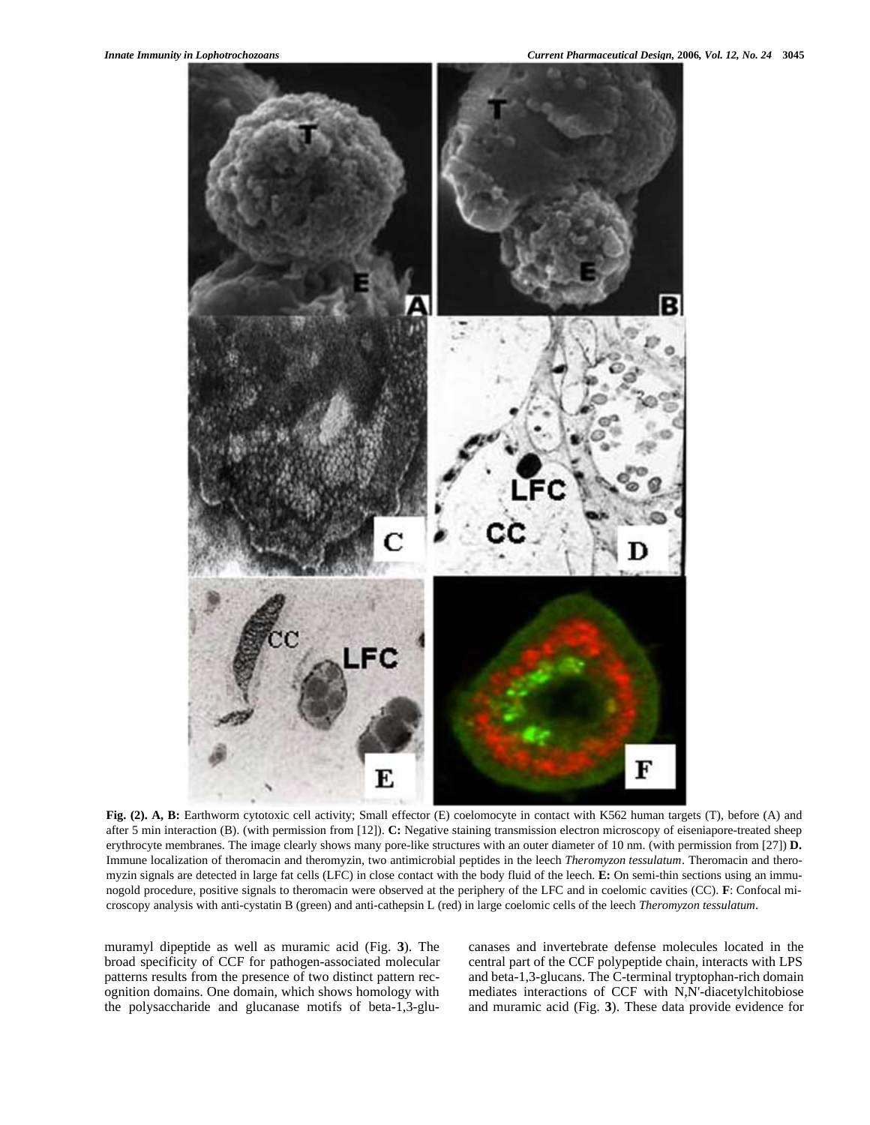

**Fig. (2). A, B:** Earthworm cytotoxic cell activity; Small effector (E) coelomocyte in contact with K562 human targets (T), before (A) and after 5 min interaction (B). (with permission from [12]). **C:** Negative staining transmission electron microscopy of eiseniapore-treated sheep erythrocyte membranes. The image clearly shows many pore-like structures with an outer diameter of 10 nm. (with permission from [27]) **D.** Immune localization of theromacin and theromyzin, two antimicrobial peptides in the leech *Theromyzon tessulatum*. Theromacin and theromyzin signals are detected in large fat cells (LFC) in close contact with the body fluid of the leech. **E:** On semi-thin sections using an immunogold procedure, positive signals to theromacin were observed at the periphery of the LFC and in coelomic cavities (CC). **F**: Confocal microscopy analysis with anti-cystatin B (green) and anti-cathepsin L (red) in large coelomic cells of the leech *Theromyzon tessulatum*.

muramyl dipeptide as well as muramic acid (Fig. **3**). The broad specificity of CCF for pathogen-associated molecular patterns results from the presence of two distinct pattern recognition domains. One domain, which shows homology with the polysaccharide and glucanase motifs of beta-1,3-glucanases and invertebrate defense molecules located in the central part of the CCF polypeptide chain, interacts with LPS and beta-1,3-glucans. The C-terminal tryptophan-rich domain mediates interactions of CCF with N,N'-diacetylchitobiose and muramic acid (Fig. **3**). These data provide evidence for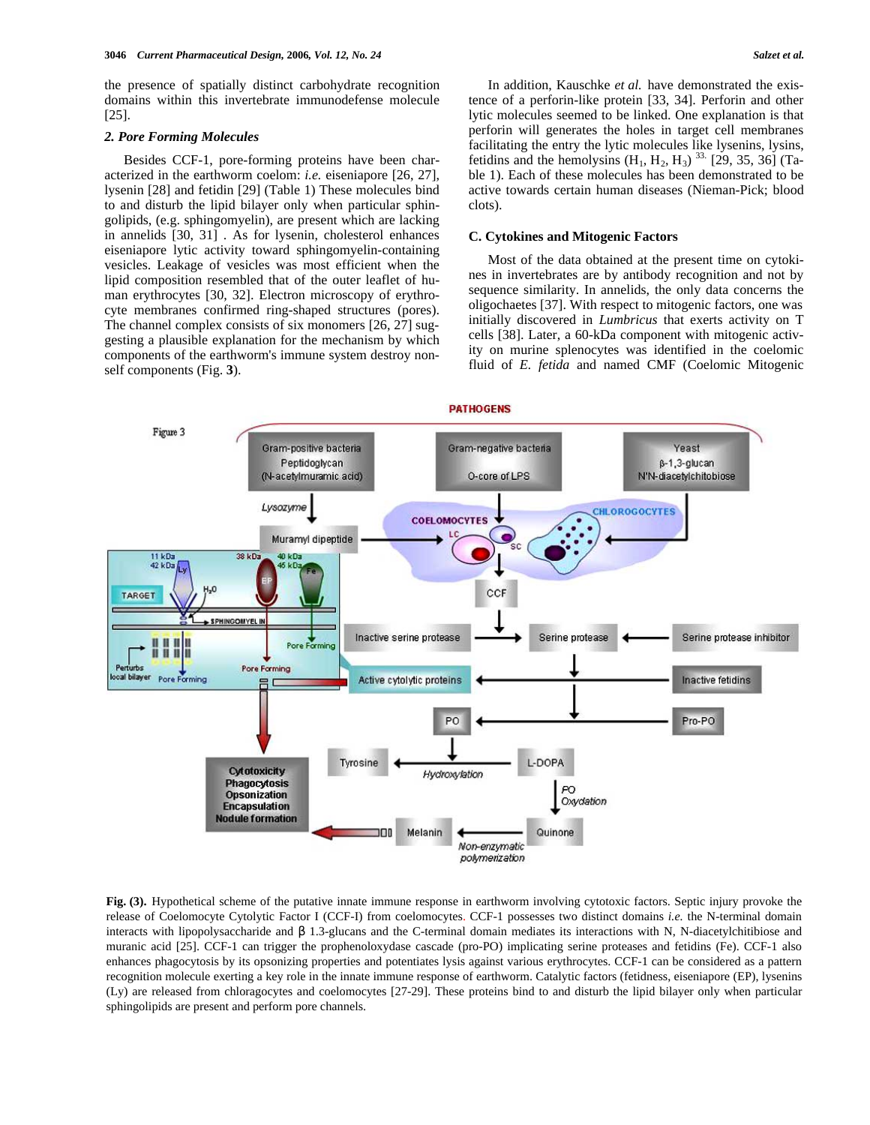the presence of spatially distinct carbohydrate recognition domains within this invertebrate immunodefense molecule [25].

#### *2. Pore Forming Molecules*

Besides CCF-1, pore-forming proteins have been characterized in the earthworm coelom: *i.e.* eiseniapore [26, 27], lysenin [28] and fetidin [29] (Table 1) These molecules bind to and disturb the lipid bilayer only when particular sphingolipids, (e.g. sphingomyelin), are present which are lacking in annelids [30, 31] . As for lysenin, cholesterol enhances eiseniapore lytic activity toward sphingomyelin-containing vesicles. Leakage of vesicles was most efficient when the lipid composition resembled that of the outer leaflet of human erythrocytes [30, 32]. Electron microscopy of erythrocyte membranes confirmed ring-shaped structures (pores). The channel complex consists of six monomers [26, 27] suggesting a plausible explanation for the mechanism by which components of the earthworm's immune system destroy nonself components (Fig. **3**).

In addition, Kauschke *et al.* have demonstrated the existence of a perforin-like protein [33, 34]. Perforin and other lytic molecules seemed to be linked. One explanation is that perforin will generates the holes in target cell membranes facilitating the entry the lytic molecules like lysenins, lysins, fetidins and the hemolysins  $(H_1, H_2, H_3)$ <sup>33.</sup> [29, 35, 36] (Table 1). Each of these molecules has been demonstrated to be active towards certain human diseases (Nieman-Pick; blood clots).

# **C. Cytokines and Mitogenic Factors**

Most of the data obtained at the present time on cytokines in invertebrates are by antibody recognition and not by sequence similarity. In annelids, the only data concerns the oligochaetes [37]. With respect to mitogenic factors, one was initially discovered in *Lumbricus* that exerts activity on T cells [38]. Later, a 60-kDa component with mitogenic activity on murine splenocytes was identified in the coelomic fluid of *E. fetida* and named CMF (Coelomic Mitogenic



**Fig. (3).** Hypothetical scheme of the putative innate immune response in earthworm involving cytotoxic factors. Septic injury provoke the release of Coelomocyte Cytolytic Factor I (CCF-I) from coelomocytes. CCF-1 possesses two distinct domains *i.e.* the N-terminal domain interacts with lipopolysaccharide and 1.3-glucans and the C-terminal domain mediates its interactions with N, N-diacetylchitibiose and muranic acid [25]. CCF-1 can trigger the prophenoloxydase cascade (pro-PO) implicating serine proteases and fetidins (Fe). CCF-1 also enhances phagocytosis by its opsonizing properties and potentiates lysis against various erythrocytes. CCF-1 can be considered as a pattern recognition molecule exerting a key role in the innate immune response of earthworm. Catalytic factors (fetidness, eiseniapore (EP), lysenins (Ly) are released from chloragocytes and coelomocytes [27-29]. These proteins bind to and disturb the lipid bilayer only when particular sphingolipids are present and perform pore channels.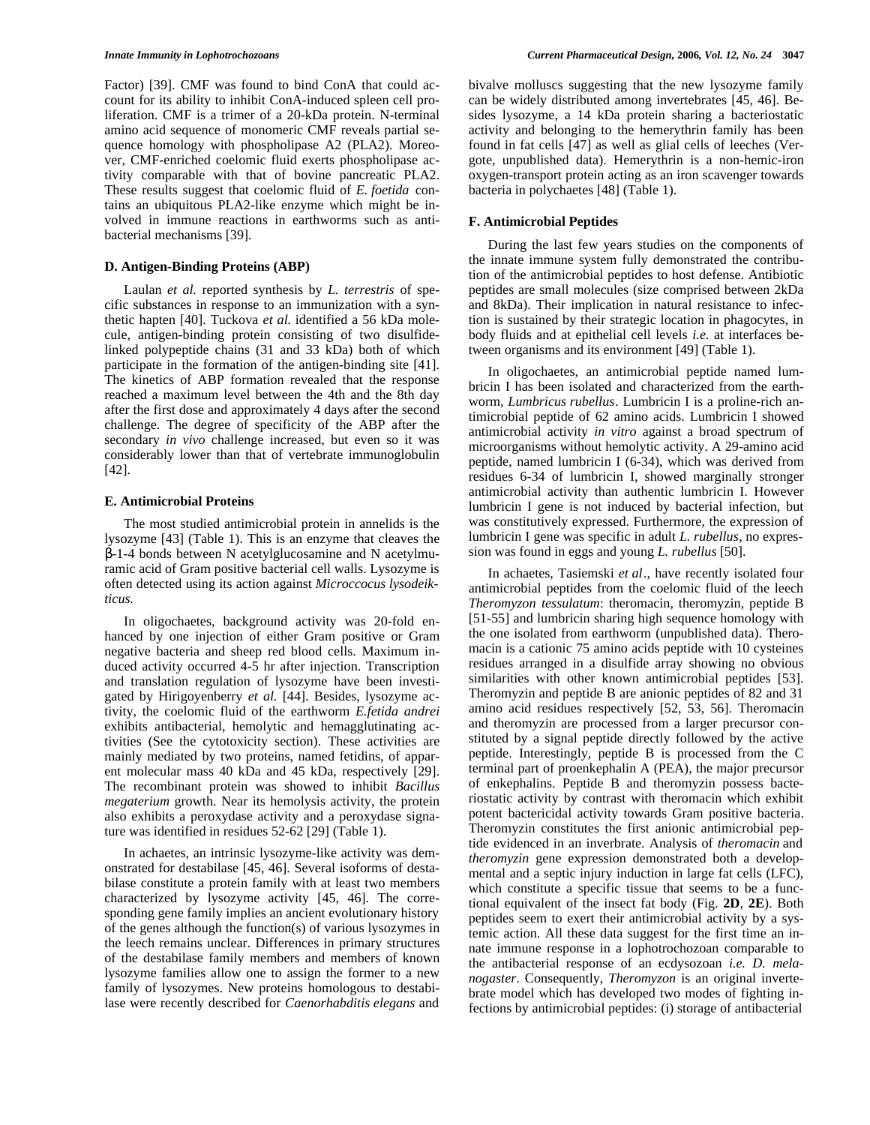Factor) [39]. CMF was found to bind ConA that could account for its ability to inhibit ConA-induced spleen cell proliferation. CMF is a trimer of a 20-kDa protein. N-terminal amino acid sequence of monomeric CMF reveals partial sequence homology with phospholipase A2 (PLA2). Moreover, CMF-enriched coelomic fluid exerts phospholipase activity comparable with that of bovine pancreatic PLA2. These results suggest that coelomic fluid of *E. foetida* contains an ubiquitous PLA2-like enzyme which might be involved in immune reactions in earthworms such as antibacterial mechanisms [39].

# **D. Antigen-Binding Proteins (ABP)**

Laulan *et al.* reported synthesis by *L. terrestris* of specific substances in response to an immunization with a synthetic hapten [40]. Tuckova *et al.* identified a 56 kDa molecule, antigen-binding protein consisting of two disulfidelinked polypeptide chains (31 and 33 kDa) both of which participate in the formation of the antigen-binding site [41]. The kinetics of ABP formation revealed that the response reached a maximum level between the 4th and the 8th day after the first dose and approximately 4 days after the second challenge. The degree of specificity of the ABP after the secondary *in vivo* challenge increased, but even so it was considerably lower than that of vertebrate immunoglobulin [42].

#### **E. Antimicrobial Proteins**

The most studied antimicrobial protein in annelids is the lysozyme [43] (Table 1). This is an enzyme that cleaves the -1-4 bonds between N acetylglucosamine and N acetylmuramic acid of Gram positive bacterial cell walls. Lysozyme is often detected using its action against *Microccocus lysodeikticus.*

In oligochaetes, background activity was 20-fold enhanced by one injection of either Gram positive or Gram negative bacteria and sheep red blood cells. Maximum induced activity occurred 4-5 hr after injection. Transcription and translation regulation of lysozyme have been investigated by Hirigoyenberry *et al.* [44]. Besides, lysozyme activity, the coelomic fluid of the earthworm *E.fetida andrei* exhibits antibacterial, hemolytic and hemagglutinating activities (See the cytotoxicity section). These activities are mainly mediated by two proteins, named fetidins, of apparent molecular mass 40 kDa and 45 kDa, respectively [29]. The recombinant protein was showed to inhibit *Bacillus megaterium* growth. Near its hemolysis activity, the protein also exhibits a peroxydase activity and a peroxydase signature was identified in residues 52-62 [29] (Table 1).

In achaetes, an intrinsic lysozyme-like activity was demonstrated for destabilase [45, 46]. Several isoforms of destabilase constitute a protein family with at least two members characterized by lysozyme activity [45, 46]. The corresponding gene family implies an ancient evolutionary history of the genes although the function(s) of various lysozymes in the leech remains unclear. Differences in primary structures of the destabilase family members and members of known lysozyme families allow one to assign the former to a new family of lysozymes. New proteins homologous to destabilase were recently described for *Caenorhabditis elegans* and

bivalve molluscs suggesting that the new lysozyme family can be widely distributed among invertebrates [45, 46]. Besides lysozyme, a 14 kDa protein sharing a bacteriostatic activity and belonging to the hemerythrin family has been found in fat cells [47] as well as glial cells of leeches (Vergote, unpublished data). Hemerythrin is a non-hemic-iron oxygen-transport protein acting as an iron scavenger towards bacteria in polychaetes [48] (Table 1).

# **F. Antimicrobial Peptides**

During the last few years studies on the components of the innate immune system fully demonstrated the contribution of the antimicrobial peptides to host defense. Antibiotic peptides are small molecules (size comprised between 2kDa and 8kDa). Their implication in natural resistance to infection is sustained by their strategic location in phagocytes, in body fluids and at epithelial cell levels *i.e.* at interfaces between organisms and its environment [49] (Table 1).

In oligochaetes, an antimicrobial peptide named lumbricin I has been isolated and characterized from the earthworm, *Lumbricus rubellus*. Lumbricin I is a proline-rich antimicrobial peptide of 62 amino acids. Lumbricin I showed antimicrobial activity *in vitro* against a broad spectrum of microorganisms without hemolytic activity. A 29-amino acid peptide, named lumbricin I (6-34), which was derived from residues 6-34 of lumbricin I, showed marginally stronger antimicrobial activity than authentic lumbricin I. However lumbricin I gene is not induced by bacterial infection, but was constitutively expressed. Furthermore, the expression of lumbricin I gene was specific in adult *L. rubellus*, no expression was found in eggs and young *L. rubellus* [50].

In achaetes, Tasiemski *et al*., have recently isolated four antimicrobial peptides from the coelomic fluid of the leech *Theromyzon tessulatum*: theromacin, theromyzin, peptide B [51-55] and lumbricin sharing high sequence homology with the one isolated from earthworm (unpublished data). Theromacin is a cationic 75 amino acids peptide with 10 cysteines residues arranged in a disulfide array showing no obvious similarities with other known antimicrobial peptides [53]. Theromyzin and peptide B are anionic peptides of 82 and 31 amino acid residues respectively [52, 53, 56]. Theromacin and theromyzin are processed from a larger precursor constituted by a signal peptide directly followed by the active peptide. Interestingly, peptide B is processed from the C terminal part of proenkephalin A (PEA), the major precursor of enkephalins. Peptide B and theromyzin possess bacteriostatic activity by contrast with theromacin which exhibit potent bactericidal activity towards Gram positive bacteria. Theromyzin constitutes the first anionic antimicrobial peptide evidenced in an inverbrate. Analysis of *theromacin* and *theromyzin* gene expression demonstrated both a developmental and a septic injury induction in large fat cells (LFC), which constitute a specific tissue that seems to be a functional equivalent of the insect fat body (Fig. **2D**, **2E**). Both peptides seem to exert their antimicrobial activity by a systemic action. All these data suggest for the first time an innate immune response in a lophotrochozoan comparable to the antibacterial response of an ecdysozoan *i.e. D. melanogaster*. Consequently, *Theromyzon* is an original invertebrate model which has developed two modes of fighting infections by antimicrobial peptides: (i) storage of antibacterial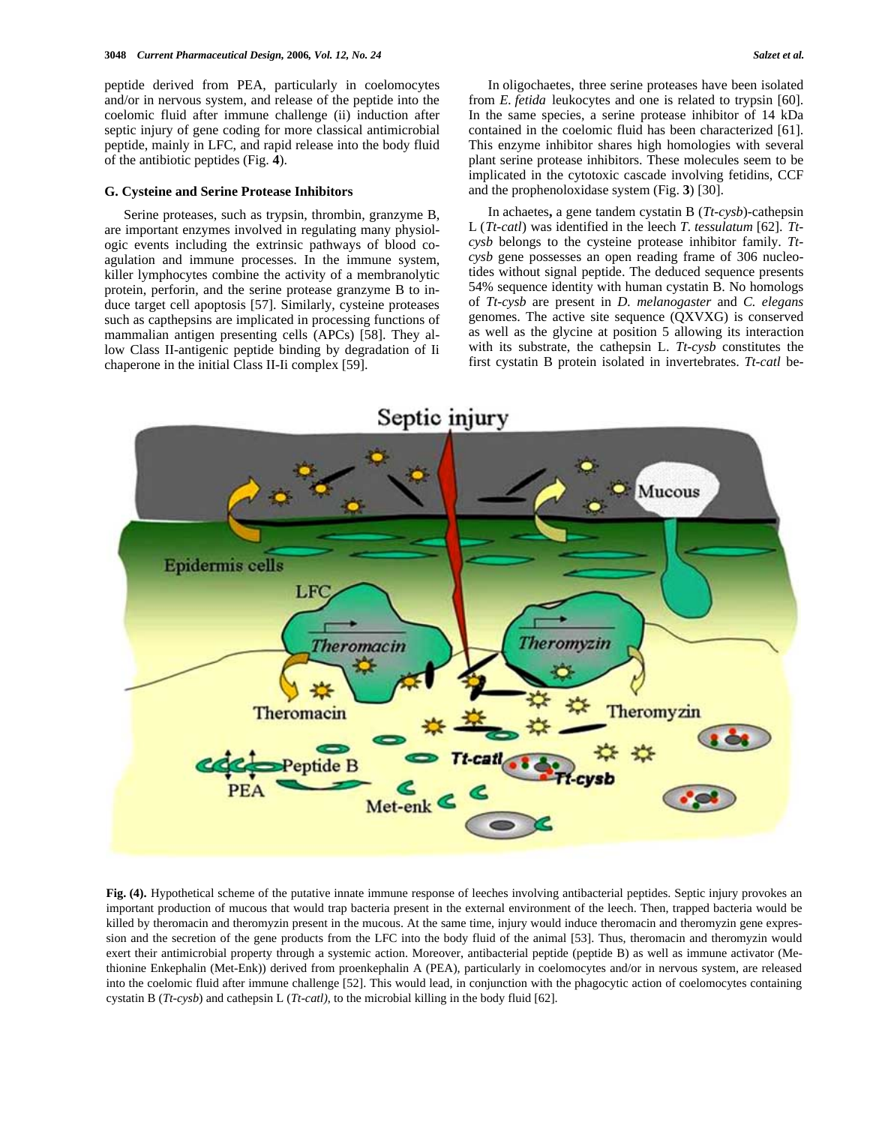peptide derived from PEA, particularly in coelomocytes and/or in nervous system, and release of the peptide into the coelomic fluid after immune challenge (ii) induction after septic injury of gene coding for more classical antimicrobial peptide, mainly in LFC, and rapid release into the body fluid of the antibiotic peptides (Fig. **4**).

#### **G. Cysteine and Serine Protease Inhibitors**

Serine proteases, such as trypsin, thrombin, granzyme B, are important enzymes involved in regulating many physiologic events including the extrinsic pathways of blood coagulation and immune processes. In the immune system, killer lymphocytes combine the activity of a membranolytic protein, perforin, and the serine protease granzyme B to induce target cell apoptosis [57]. Similarly, cysteine proteases such as capthepsins are implicated in processing functions of mammalian antigen presenting cells (APCs) [58]. They allow Class II-antigenic peptide binding by degradation of Ii chaperone in the initial Class II-Ii complex [59].

In oligochaetes, three serine proteases have been isolated from *E. fetida* leukocytes and one is related to trypsin [60]. In the same species, a serine protease inhibitor of 14 kDa contained in the coelomic fluid has been characterized [61]. This enzyme inhibitor shares high homologies with several plant serine protease inhibitors. These molecules seem to be implicated in the cytotoxic cascade involving fetidins, CCF and the prophenoloxidase system (Fig. **3**) [30].

In achaetes**,** a gene tandem cystatin B (*Tt-cysb*)-cathepsin L (*Tt-catl*) was identified in the leech *T. tessulatum* [62]. *Ttcysb* belongs to the cysteine protease inhibitor family. *Ttcysb* gene possesses an open reading frame of 306 nucleotides without signal peptide. The deduced sequence presents 54% sequence identity with human cystatin B. No homologs of *Tt-cysb* are present in *D. melanogaster* and *C. elegans* genomes. The active site sequence (QXVXG) is conserved as well as the glycine at position 5 allowing its interaction with its substrate, the cathepsin L. *Tt-cysb* constitutes the first cystatin B protein isolated in invertebrates. *Tt-catl* be-



**Fig. (4).** Hypothetical scheme of the putative innate immune response of leeches involving antibacterial peptides. Septic injury provokes an important production of mucous that would trap bacteria present in the external environment of the leech. Then, trapped bacteria would be killed by theromacin and theromyzin present in the mucous. At the same time, injury would induce theromacin and theromyzin gene expression and the secretion of the gene products from the LFC into the body fluid of the animal [53]. Thus, theromacin and theromyzin would exert their antimicrobial property through a systemic action. Moreover, antibacterial peptide (peptide B) as well as immune activator (Methionine Enkephalin (Met-Enk)) derived from proenkephalin A (PEA), particularly in coelomocytes and/or in nervous system, are released into the coelomic fluid after immune challenge [52]. This would lead, in conjunction with the phagocytic action of coelomocytes containing cystatin B (*Tt-cysb*) and cathepsin L (*Tt-catl)*, to the microbial killing in the body fluid [62].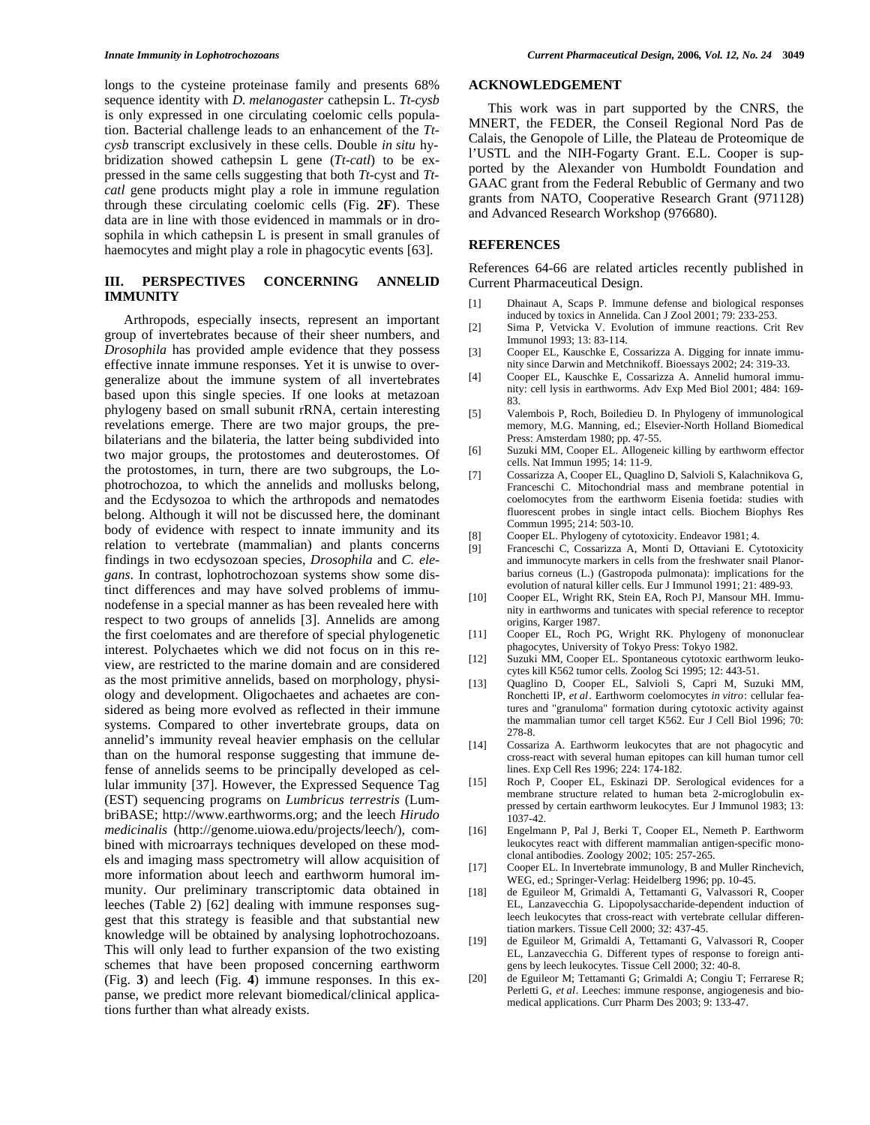longs to the cysteine proteinase family and presents 68% sequence identity with *D. melanogaster* cathepsin L. *Tt-cysb* is only expressed in one circulating coelomic cells population. Bacterial challenge leads to an enhancement of the *Ttcysb* transcript exclusively in these cells. Double *in situ* hybridization showed cathepsin L gene (*Tt-catl*) to be expressed in the same cells suggesting that both *Tt*-cyst and *Ttcatl* gene products might play a role in immune regulation through these circulating coelomic cells (Fig. **2F**). These data are in line with those evidenced in mammals or in drosophila in which cathepsin L is present in small granules of haemocytes and might play a role in phagocytic events [63].

# **III. PERSPECTIVES CONCERNING ANNELID IMMUNITY**

Arthropods, especially insects, represent an important group of invertebrates because of their sheer numbers, and *Drosophila* has provided ample evidence that they possess effective innate immune responses. Yet it is unwise to overgeneralize about the immune system of all invertebrates based upon this single species. If one looks at metazoan phylogeny based on small subunit rRNA, certain interesting revelations emerge. There are two major groups, the prebilaterians and the bilateria, the latter being subdivided into two major groups, the protostomes and deuterostomes. Of the protostomes, in turn, there are two subgroups, the Lophotrochozoa, to which the annelids and mollusks belong, and the Ecdysozoa to which the arthropods and nematodes belong. Although it will not be discussed here, the dominant body of evidence with respect to innate immunity and its relation to vertebrate (mammalian) and plants concerns findings in two ecdysozoan species, *Drosophila* and *C. elegans*. In contrast, lophotrochozoan systems show some distinct differences and may have solved problems of immunodefense in a special manner as has been revealed here with respect to two groups of annelids [3]. Annelids are among the first coelomates and are therefore of special phylogenetic interest. Polychaetes which we did not focus on in this review, are restricted to the marine domain and are considered as the most primitive annelids, based on morphology, physiology and development. Oligochaetes and achaetes are considered as being more evolved as reflected in their immune systems. Compared to other invertebrate groups, data on annelid's immunity reveal heavier emphasis on the cellular than on the humoral response suggesting that immune defense of annelids seems to be principally developed as cellular immunity [37]. However, the Expressed Sequence Tag (EST) sequencing programs on *Lumbricus terrestris* (LumbriBASE; http://www.earthworms.org; and the leech *Hirudo medicinalis* (http://genome.uiowa.edu/projects/leech/), combined with microarrays techniques developed on these models and imaging mass spectrometry will allow acquisition of more information about leech and earthworm humoral immunity. Our preliminary transcriptomic data obtained in leeches (Table 2) [62] dealing with immune responses suggest that this strategy is feasible and that substantial new knowledge will be obtained by analysing lophotrochozoans. This will only lead to further expansion of the two existing schemes that have been proposed concerning earthworm (Fig. **3**) and leech (Fig. **4**) immune responses. In this expanse, we predict more relevant biomedical/clinical applications further than what already exists.

### **ACKNOWLEDGEMENT**

This work was in part supported by the CNRS, the MNERT, the FEDER, the Conseil Regional Nord Pas de Calais, the Genopole of Lille, the Plateau de Proteomique de l'USTL and the NIH-Fogarty Grant. E.L. Cooper is supported by the Alexander von Humboldt Foundation and GAAC grant from the Federal Rebublic of Germany and two grants from NATO, Cooperative Research Grant (971128) and Advanced Research Workshop (976680).

# **REFERENCES**

References 64-66 are related articles recently published in Current Pharmaceutical Design.

- [1] Dhainaut A, Scaps P. Immune defense and biological responses induced by toxics in Annelida. Can J Zool 2001; 79: 233-253.
- [2] Sima P, Vetvicka V. Evolution of immune reactions. Crit Rev Immunol 1993; 13: 83-114.
- [3] Cooper EL, Kauschke E, Cossarizza A. Digging for innate immunity since Darwin and Metchnikoff. Bioessays 2002; 24: 319-33.
- [4] Cooper EL, Kauschke E, Cossarizza A. Annelid humoral immunity: cell lysis in earthworms. Adv Exp Med Biol 2001; 484: 169- 83.
- [5] Valembois P, Roch, Boiledieu D. In Phylogeny of immunological memory, M.G. Manning, ed.; Elsevier-North Holland Biomedical Press: Amsterdam 1980; pp. 47-55.
- [6] Suzuki MM, Cooper EL. Allogeneic killing by earthworm effector cells. Nat Immun 1995; 14: 11-9.
- [7] Cossarizza A, Cooper EL, Quaglino D, Salvioli S, Kalachnikova G, Franceschi C. Mitochondrial mass and membrane potential in coelomocytes from the earthworm Eisenia foetida: studies with fluorescent probes in single intact cells. Biochem Biophys Res Commun 1995; 214: 503-10.
- [8] Cooper EL. Phylogeny of cytotoxicity. Endeavor 1981; 4.
- [9] Franceschi C, Cossarizza A, Monti D, Ottaviani E. Cytotoxicity and immunocyte markers in cells from the freshwater snail Planorbarius corneus (L.) (Gastropoda pulmonata): implications for the evolution of natural killer cells. Eur J Immunol 1991; 21: 489-93.
- [10] Cooper EL, Wright RK, Stein EA, Roch PJ, Mansour MH. Immunity in earthworms and tunicates with special reference to receptor origins, Karger 1987.
- [11] Cooper EL, Roch PG, Wright RK. Phylogeny of mononuclear phagocytes, University of Tokyo Press: Tokyo 1982.
- [12] Suzuki MM, Cooper EL. Spontaneous cytotoxic earthworm leukocytes kill K562 tumor cells. Zoolog Sci 1995; 12: 443-51.
- [13] Quaglino D, Cooper EL, Salvioli S, Capri M, Suzuki MM, Ronchetti IP, *et al*. Earthworm coelomocytes *in vitro*: cellular features and "granuloma" formation during cytotoxic activity against the mammalian tumor cell target K562. Eur J Cell Biol 1996; 70: 278-8.
- [14] Cossariza A. Earthworm leukocytes that are not phagocytic and cross-react with several human epitopes can kill human tumor cell lines. Exp Cell Res 1996; 224: 174-182.
- [15] Roch P, Cooper EL, Eskinazi DP. Serological evidences for a membrane structure related to human beta 2-microglobulin expressed by certain earthworm leukocytes. Eur J Immunol 1983; 13:  $1037 - 42$ .
- [16] Engelmann P, Pal J, Berki T, Cooper EL, Nemeth P. Earthworm leukocytes react with different mammalian antigen-specific monoclonal antibodies. Zoology 2002; 105: 257-265.
- [17] Cooper EL. In Invertebrate immunology, B and Muller Rinchevich, WEG, ed.; Springer-Verlag: Heidelberg 1996; pp. 10-45.
- [18] de Eguileor M, Grimaldi A, Tettamanti G, Valvassori R, Cooper EL, Lanzavecchia G. Lipopolysaccharide-dependent induction of leech leukocytes that cross-react with vertebrate cellular differentiation markers. Tissue Cell 2000; 32: 437-45.
- [19] de Eguileor M, Grimaldi A, Tettamanti G, Valvassori R, Cooper EL, Lanzavecchia G. Different types of response to foreign antigens by leech leukocytes. Tissue Cell 2000; 32: 40-8.
- [20] de Eguileor M; Tettamanti G; Grimaldi A; Congiu T; Ferrarese R; Perletti G, *et al*. Leeches: immune response, angiogenesis and biomedical applications. Curr Pharm Des 2003; 9: 133-47.